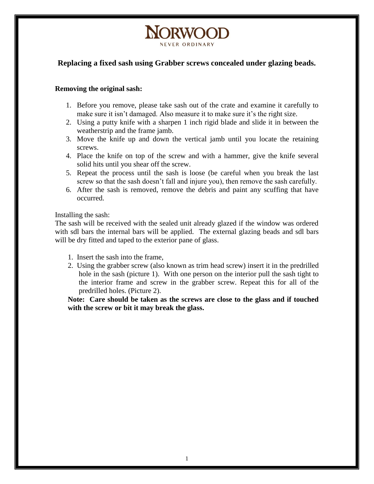## **Replacing a fixed sash using Grabber screws concealed under glazing beads.**

**NORWOOT** 

NEVER ORDINAL

## **Removing the original sash:**

- 1. Before you remove, please take sash out of the crate and examine it carefully to make sure it isn't damaged. Also measure it to make sure it's the right size.
- 2. Using a putty knife with a sharpen 1 inch rigid blade and slide it in between the weatherstrip and the frame jamb.
- 3. Move the knife up and down the vertical jamb until you locate the retaining screws.
- 4. Place the knife on top of the screw and with a hammer, give the knife several solid hits until you shear off the screw.
- 5. Repeat the process until the sash is loose (be careful when you break the last screw so that the sash doesn't fall and injure you), then remove the sash carefully.
- 6. After the sash is removed, remove the debris and paint any scuffing that have occurred.

## Installing the sash:

The sash will be received with the sealed unit already glazed if the window was ordered with sdl bars the internal bars will be applied. The external glazing beads and sdl bars will be dry fitted and taped to the exterior pane of glass.

- 1. Insert the sash into the frame,
- 2. Using the grabber screw (also known as trim head screw) insert it in the predrilled hole in the sash (picture 1). With one person on the interior pull the sash tight to the interior frame and screw in the grabber screw. Repeat this for all of the predrilled holes. (Picture 2).

**Note: Care should be taken as the screws are close to the glass and if touched with the screw or bit it may break the glass.**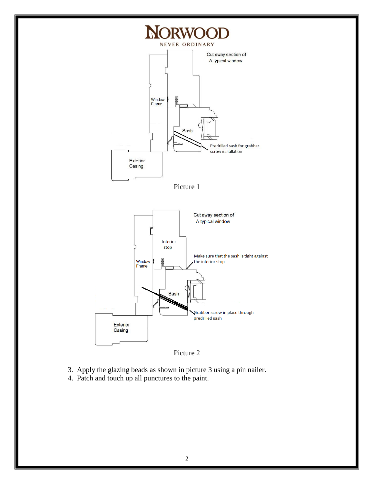



Grabber screw in place through

predrilled sash

3. Apply the glazing beads as shown in picture 3 using a pin nailer.

4. Patch and touch up all punctures to the paint.

Exterior Casing